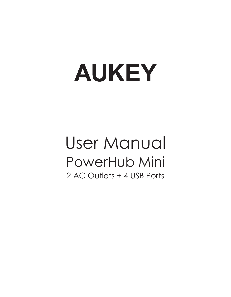# **AUKEY**

# User Manual PowerHub Mini 2 AC Outlets + 4 USB Ports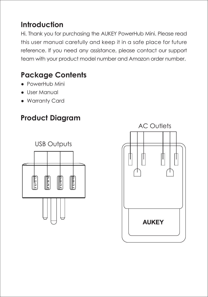#### **Introduction**

Hi. Thank you for purchasing the AUKEY PowerHub Mini. Please read this user manual carefully and keep it in a safe place for future reference. If you need any assistance, please contact our support team with your product model number and Amazon order number.

## **Package Contents**

- PowerHub Mini
- User Manual
- Warranty Card

# **Product Diagram**



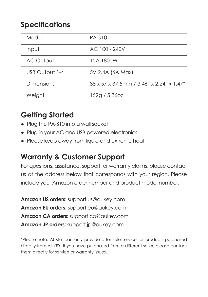## **Specifications**

| Model          | <b>PA-S10</b>                            |
|----------------|------------------------------------------|
| Input          | AC 100 - 240V                            |
| AC Output      | 15A 1800W                                |
| USB Output 1-4 | 5V 2.4A (6A Max)                         |
| Dimensions     | 88 x 57 x 37.5mm / 3.46" x 2.24" x 1.47" |
| Weiaht         | 152g / 5.36oz                            |

#### **Getting Started**

- Plug the PA-S10 into a wall socket
- Plug in your AC and USB powered electronics
- Please keep away from liquid and extreme heat

#### **Warranty & Customer Support**

For questions, assistance, support, or warranty claims, please contact us at the address below that corresponds with your region. Please include your Amazon order number and product model number.

**Amazon US orders:** support.us@aukey.com **Amazon EU orders:** support.eu@aukey.com **Amazon CA orders:** support.ca@aukey.com **Amazon JP orders:** support.jp@aukey.com

\*Please note, AUKEY can only provide after sale service for products purchased directly from AUKEY. If you have purchased from a different seller, please contact them directly for service or warranty issues.